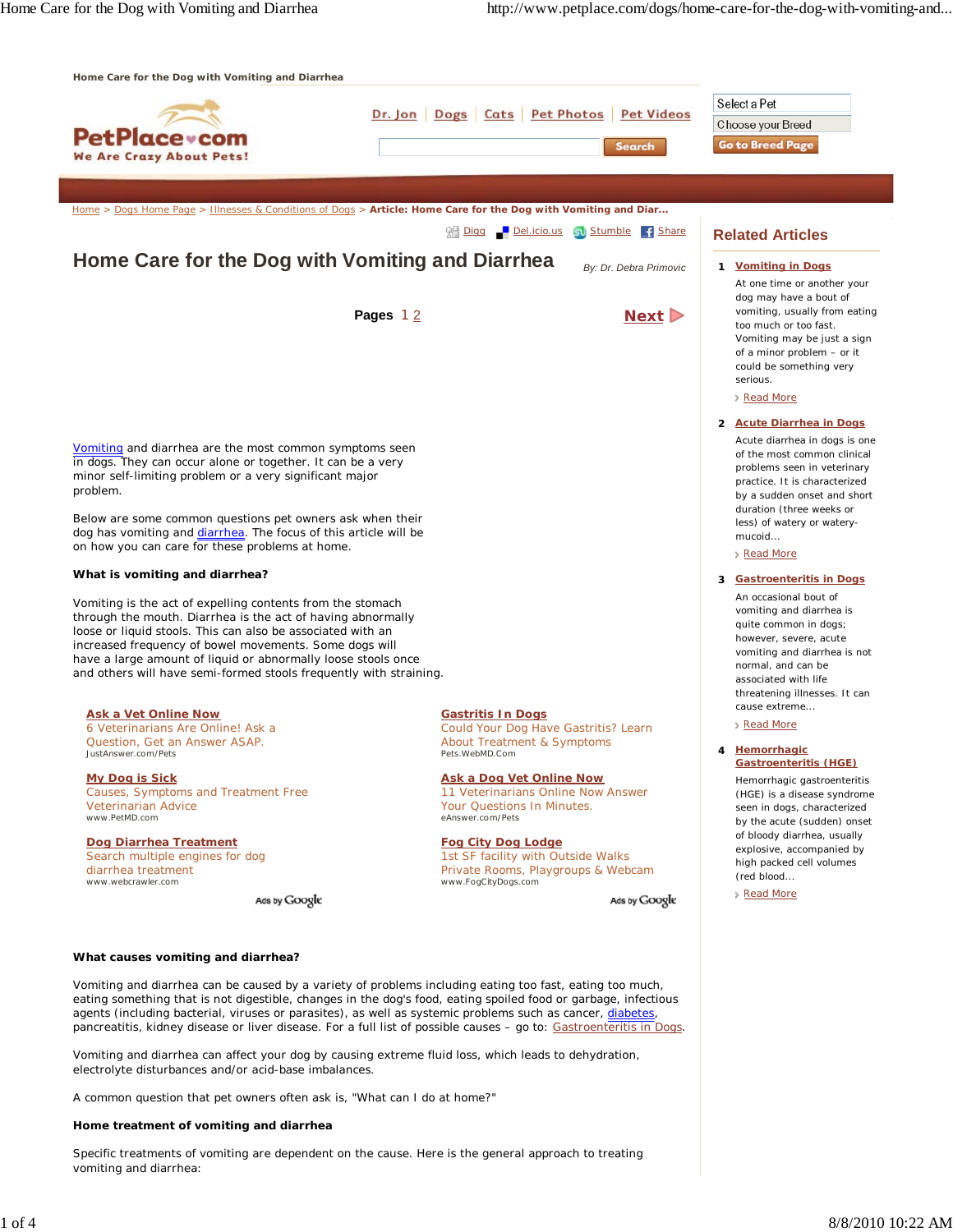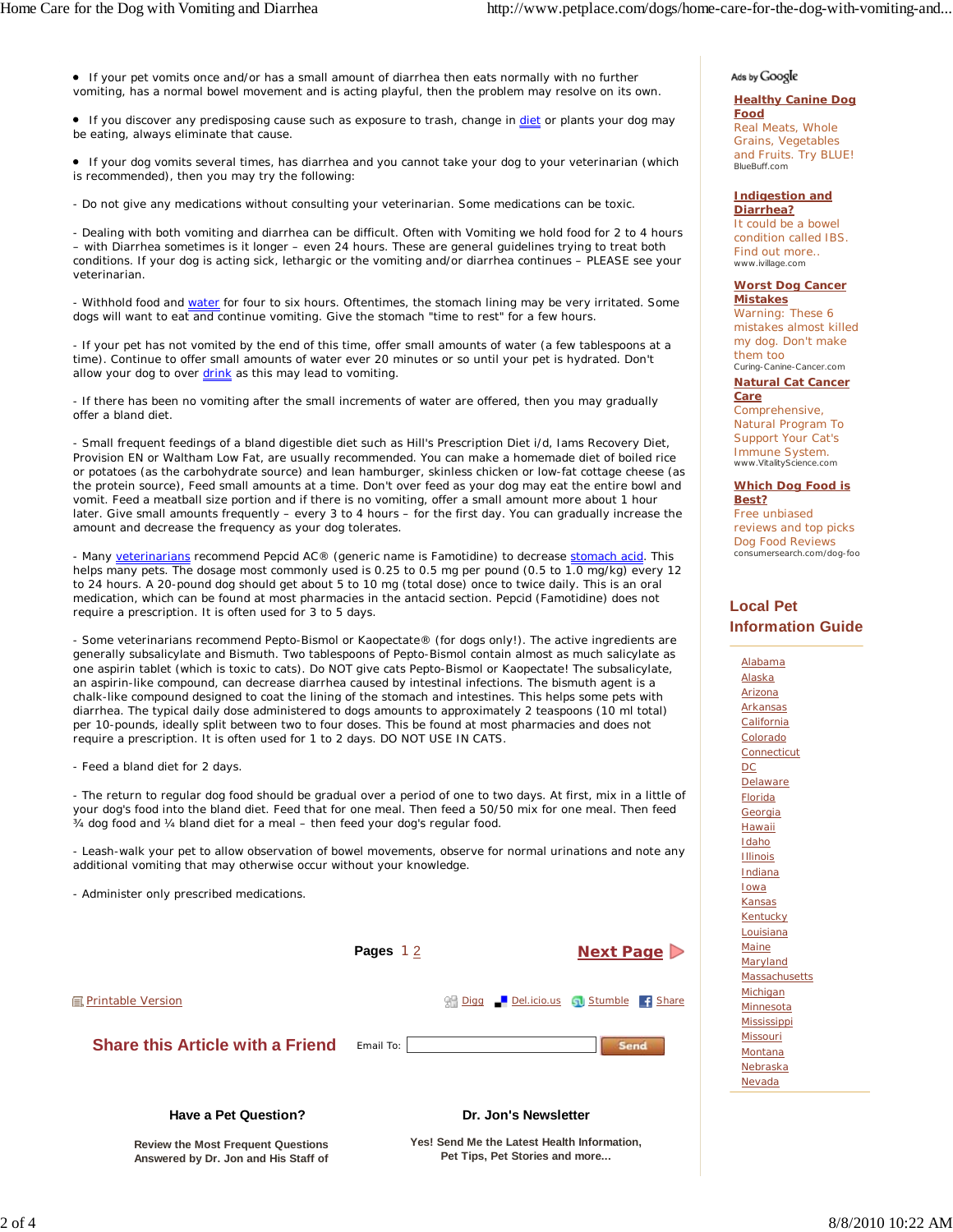If your pet vomits once and/or has a small amount of diarrhea then eats normally with no further vomiting, has a normal bowel movement and is acting playful, then the problem may resolve on its own.

If you discover any predisposing cause such as exposure to trash, change in diet or plants your dog may be eating, always eliminate that cause.

 If your dog vomits several times, has diarrhea and you cannot take your dog to your veterinarian (which is recommended), then you may try the following:

- Do not give any medications without consulting your veterinarian. Some medications can be toxic.

- Dealing with both vomiting and diarrhea can be difficult. Often with Vomiting we hold food for 2 to 4 hours – with Diarrhea sometimes is it longer – even 24 hours. These are general guidelines trying to treat both conditions. If your dog is acting sick, lethargic or the vomiting and/or diarrhea continues – PLEASE see your veterinarian.

- Withhold food and water for four to six hours. Oftentimes, the stomach lining may be very irritated. Some dogs will want to eat and continue vomiting. Give the stomach "time to rest" for a few hours.

- If your pet has not vomited by the end of this time, offer small amounts of water (a few tablespoons at a time). Continue to offer small amounts of water ever 20 minutes or so until your pet is hydrated. Don't allow your dog to over drink as this may lead to vomiting.

- If there has been no vomiting after the small increments of water are offered, then you may gradually offer a bland diet.

- Small frequent feedings of a bland digestible diet such as Hill's Prescription Diet i/d, Iams Recovery Diet, Provision EN or Waltham Low Fat, are usually recommended. You can make a homemade diet of boiled rice or potatoes (as the carbohydrate source) and lean hamburger, skinless chicken or low-fat cottage cheese (as the protein source), Feed small amounts at a time. Don't over feed as your dog may eat the entire bowl and vomit. Feed a meatball size portion and if there is no vomiting, offer a small amount more about 1 hour later. Give small amounts frequently – every 3 to 4 hours – for the first day. You can gradually increase the amount and decrease the frequency as your dog tolerates.

- Many veterinarians recommend Pepcid AC® (generic name is Famotidine) to decrease stomach acid. This helps many pets. The dosage most commonly used is 0.25 to 0.5 mg per pound (0.5 to 1.0 mg/kg) every 12 to 24 hours. A 20-pound dog should get about 5 to 10 mg (total dose) once to twice daily. This is an oral medication, which can be found at most pharmacies in the antacid section. Pepcid (Famotidine) does not require a prescription. It is often used for 3 to 5 days.

- Some veterinarians recommend Pepto-Bismol or Kaopectate® (for dogs only!). The active ingredients are generally subsalicylate and Bismuth. Two tablespoons of Pepto-Bismol contain almost as much salicylate as one aspirin tablet (which is toxic to cats). Do NOT give cats Pepto-Bismol or Kaopectate! The subsalicylate, an aspirin-like compound, can decrease diarrhea caused by intestinal infections. The bismuth agent is a chalk-like compound designed to coat the lining of the stomach and intestines. This helps some pets with diarrhea. The typical daily dose administered to dogs amounts to approximately 2 teaspoons (10 ml total) per 10-pounds, ideally split between two to four doses. This be found at most pharmacies and does not require a prescription. It is often used for 1 to 2 days. DO NOT USE IN CATS.

- Feed a bland diet for 2 days.

- The return to regular dog food should be gradual over a period of one to two days. At first, mix in a little of your dog's food into the bland diet. Feed that for one meal. Then feed a 50/50 mix for one meal. Then feed ¾ dog food and ¼ bland diet for a meal – then feed your dog's regular food.

- Leash-walk your pet to allow observation of bowel movements, observe for normal urinations and note any additional vomiting that may otherwise occur without your knowledge.

- Administer only prescribed medications.



## **Have a Pet Question?**

**Dr. Jon's Newsletter**

**Review the Most Frequent Questions Answered by Dr. Jon and His Staff of** **Yes! Send Me the Latest Health Information, Pet Tips, Pet Stories and more...**

# Ads by Google

#### **Healthy Canine Dog Food** Real Meats, Whole Grains, Vegetables and Fruits. Try BLUE! BlueBuff.com

## **Indigestion and**

**Diarrhea?** It could be a bowel condition called IBS. Find out more.. www.ivillage.com

#### **Worst Dog Cancer Mistakes**

Warning: These 6 mistakes almost killed my dog. Don't make them too Curing-Canine-Cancer.com

# **Natural Cat Cancer**

**Care** Comprehensive, Natural Program To Support Your Cat's Immune System. www.VitalityScience.com

## **Which Dog Food is Best?**

Free unbiased reviews and top picks Dog Food Reviews consumersearch.com/dog-foo

# **Local Pet Information Guide**

Alabama Alaska Arizona Arkansas **California** Colorado **Connecticut** DC **Delaware** Florida **Georgia Hawaii** Idaho **Illinois Indiana** Iowa Kansas Kentucky **Louisiana Maine** Maryland **Massachusetts** Michigan Minnesota **Mississippi** Missouri **Montana** Nebraska Nevada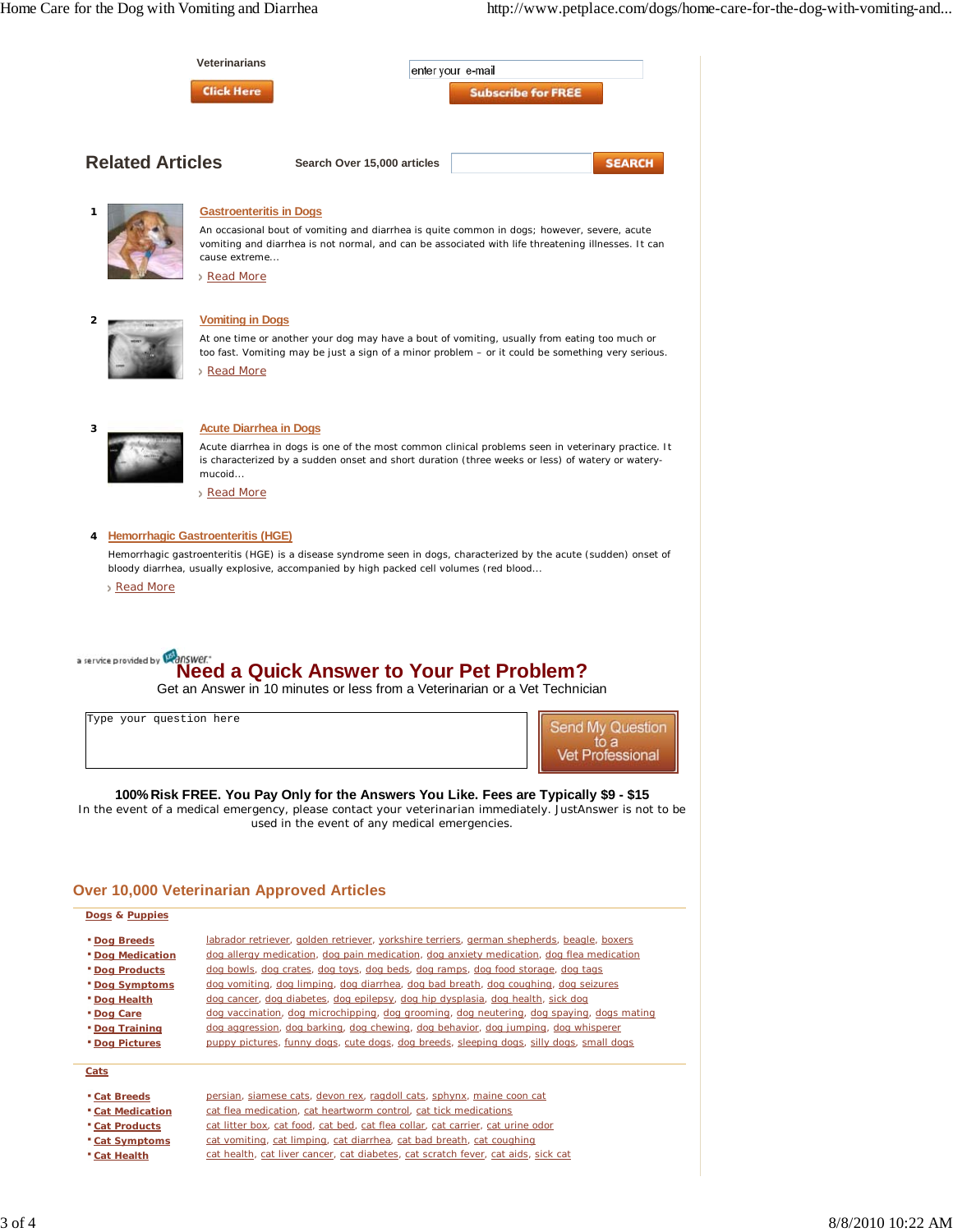|                                                                                                                                                                          | <b>Veterinarians</b>                                           |                                                                                                                                                                                                                                                                                                                                                                                                                                                                                                                                                                                                                                                                                                                                     | enter your e-mail |                           |                                             |  |
|--------------------------------------------------------------------------------------------------------------------------------------------------------------------------|----------------------------------------------------------------|-------------------------------------------------------------------------------------------------------------------------------------------------------------------------------------------------------------------------------------------------------------------------------------------------------------------------------------------------------------------------------------------------------------------------------------------------------------------------------------------------------------------------------------------------------------------------------------------------------------------------------------------------------------------------------------------------------------------------------------|-------------------|---------------------------|---------------------------------------------|--|
|                                                                                                                                                                          | <b>Click Here</b>                                              |                                                                                                                                                                                                                                                                                                                                                                                                                                                                                                                                                                                                                                                                                                                                     |                   | <b>Subscribe for FREE</b> |                                             |  |
| <b>Related Articles</b>                                                                                                                                                  |                                                                | Search Over 15,000 articles                                                                                                                                                                                                                                                                                                                                                                                                                                                                                                                                                                                                                                                                                                         |                   |                           | <b>SEARCH</b>                               |  |
| 1                                                                                                                                                                        | <b>Gastroenteritis in Dogs</b><br>cause extreme<br>> Read More | An occasional bout of vomiting and diarrhea is quite common in dogs; however, severe, acute<br>vomiting and diarrhea is not normal, and can be associated with life threatening illnesses. It can                                                                                                                                                                                                                                                                                                                                                                                                                                                                                                                                   |                   |                           |                                             |  |
| 2                                                                                                                                                                        | <b>Vomiting in Dogs</b><br>Read More                           | At one time or another your dog may have a bout of vomiting, usually from eating too much or<br>too fast. Vomiting may be just a sign of a minor problem – or it could be something very serious.                                                                                                                                                                                                                                                                                                                                                                                                                                                                                                                                   |                   |                           |                                             |  |
| 3                                                                                                                                                                        | <b>Acute Diarrhea in Dogs</b><br>mucoid<br>Read More           | Acute diarrhea in dogs is one of the most common clinical problems seen in veterinary practice. It<br>is characterized by a sudden onset and short duration (three weeks or less) of watery or watery-                                                                                                                                                                                                                                                                                                                                                                                                                                                                                                                              |                   |                           |                                             |  |
| Read More<br>a service provided by <b>Wanswer</b> .*                                                                                                                     |                                                                | bloody diarrhea, usually explosive, accompanied by high packed cell volumes (red blood<br><b>Need a Quick Answer to Your Pet Problem?</b><br>Get an Answer in 10 minutes or less from a Veterinarian or a Vet Technician                                                                                                                                                                                                                                                                                                                                                                                                                                                                                                            |                   |                           |                                             |  |
| Type your question here                                                                                                                                                  |                                                                |                                                                                                                                                                                                                                                                                                                                                                                                                                                                                                                                                                                                                                                                                                                                     |                   |                           | <b>Send My Question</b><br>Vet Professional |  |
|                                                                                                                                                                          |                                                                | 100% Risk FREE. You Pay Only for the Answers You Like. Fees are Typically \$9 - \$15<br>In the event of a medical emergency, please contact your veterinarian immediately. JustAnswer is not to be<br>used in the event of any medical emergencies.                                                                                                                                                                                                                                                                                                                                                                                                                                                                                 |                   |                           |                                             |  |
| <b>Over 10,000 Veterinarian Approved Articles</b>                                                                                                                        |                                                                |                                                                                                                                                                                                                                                                                                                                                                                                                                                                                                                                                                                                                                                                                                                                     |                   |                           |                                             |  |
| Dogs & Puppies                                                                                                                                                           |                                                                |                                                                                                                                                                                                                                                                                                                                                                                                                                                                                                                                                                                                                                                                                                                                     |                   |                           |                                             |  |
| <b>* Dog Breeds</b><br><b>Dog Medication</b><br><b>Dog Products</b><br><b>Dog Symptoms</b><br>* Dog Health<br>* Dog Care<br><b>Dog Training</b><br><b>* Dog Pictures</b> |                                                                | labrador retriever, golden retriever, yorkshire terriers, german shepherds, beagle, boxers<br>dog allergy medication, dog pain medication, dog anxiety medication, dog flea medication<br>dog bowls, dog crates, dog toys, dog beds, dog ramps, dog food storage, dog tags<br>dog vomiting, dog limping, dog diarrhea, dog bad breath, dog coughing, dog seizures<br>dog cancer, dog diabetes, dog epilepsy, dog hip dysplasia, dog health, sick dog<br>dog vaccination, dog microchipping, dog grooming, dog neutering, dog spaying, dogs mating<br>dog aggression, dog barking, dog chewing, dog behavior, dog jumping, dog whisperer<br>puppy pictures, funny dogs, cute dogs, dog breeds, sleeping dogs, silly dogs, small dogs |                   |                           |                                             |  |
| Cats                                                                                                                                                                     |                                                                |                                                                                                                                                                                                                                                                                                                                                                                                                                                                                                                                                                                                                                                                                                                                     |                   |                           |                                             |  |
| <b>Cat Breeds</b><br><b>Cat Medication</b>                                                                                                                               |                                                                | persian, siamese cats, devon rex, ragdoll cats, sphynx, maine coon cat<br>cat flea medication, cat heartworm control, cat tick medications                                                                                                                                                                                                                                                                                                                                                                                                                                                                                                                                                                                          |                   |                           |                                             |  |

- **Cat Medication**<br>**Cat Products** cat litter box, cat food, cat bed, cat flea collar, cat carrier, cat urine odor
- 
- 
- 
- **Cat Symptoms** cat vomiting, cat limping, cat diarrhea, cat bad breath, cat coughing<br> **Cat Health** cat health, cat liver cancer, cat diabetes, cat scratch fever, cat aids, s cat health, cat liver cancer, cat diabetes, cat scratch fever, cat aids, sick cat